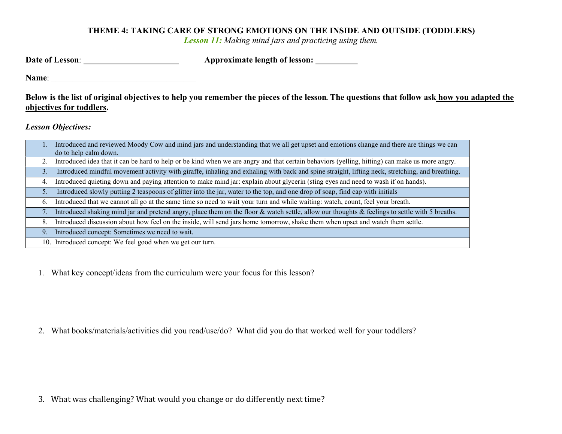## THEME 4: TAKING CARE OF STRONG EMOTIONS ON THE INSIDE AND OUTSIDE (TODDLERS)

Lesson 11: Making mind jars and practicing using them.

| Date of Lesson: | <b>Approximate length of lesson:</b> |  |
|-----------------|--------------------------------------|--|
|                 |                                      |  |

Name:

Below is the list of original objectives to help you remember the pieces of the lesson. The questions that follow ask how you adapted the objectives for toddlers.

Lesson Objectives:

|    | Introduced and reviewed Moody Cow and mind jars and understanding that we all get upset and emotions change and there are things we can         |
|----|-------------------------------------------------------------------------------------------------------------------------------------------------|
|    | do to help calm down.                                                                                                                           |
|    | Introduced idea that it can be hard to help or be kind when we are angry and that certain behaviors (yelling, hitting) can make us more angry.  |
| 3. | Introduced mindful movement activity with giraffe, inhaling and exhaling with back and spine straight, lifting neck, stretching, and breathing. |
| 4. | Introduced quieting down and paying attention to make mind jar: explain about glycerin (sting eyes and need to wash if on hands).               |
| 5. | Introduced slowly putting 2 teaspoons of glitter into the jar, water to the top, and one drop of soap, find cap with initials                   |
| 6. | Introduced that we cannot all go at the same time so need to wait your turn and while waiting: watch, count, feel your breath.                  |
| 7. | Introduced shaking mind jar and pretend angry, place them on the floor & watch settle, allow our thoughts & feelings to settle with 5 breaths.  |
| 8. | Introduced discussion about how feel on the inside, will send jars home tomorrow, shake them when upset and watch them settle.                  |
| 9. | Introduced concept: Sometimes we need to wait.                                                                                                  |
|    | 10. Introduced concept: We feel good when we get our turn.                                                                                      |

1. What key concept/ideas from the curriculum were your focus for this lesson?

2. What books/materials/activities did you read/use/do? What did you do that worked well for your toddlers?

3. What was challenging? What would you change or do differently next time?